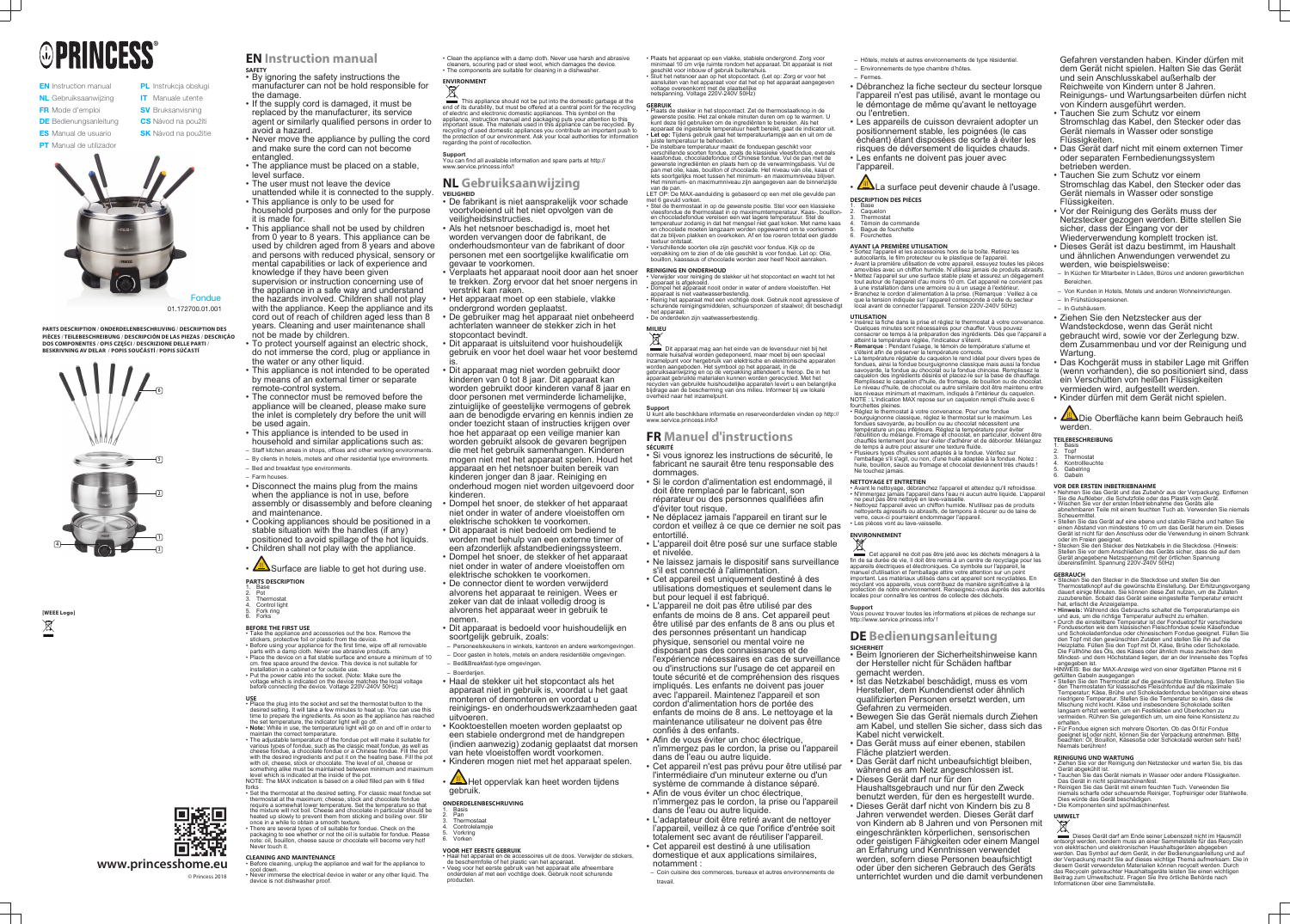# **®PRINCESS®**

**EN** Instruction manual NL Gebruiksaanwijzing FR Mode d'emploi **DE** Bedienungsanleitung **ES** Manual de usuario **PT** Manual de utilizador

PL Instrukcja obsługi **IT** Manuale utente **SV** Bruksanvisning **CS** Návod na použití **SK** Návod na použitie



**[WEEE Logo]**  $\boxtimes$ 

- manufacturer can not be hold responsible for the damage.
- If the supply cord is damaged, it must be replaced by the manufacturer, its service agent or similarly qualified persons in order to avoid a hazard.
- Never move the appliance by pulling the cord and make sure the cord can not become entangled.
- The appliance must be placed on a stable, level surface.
- The user must not leave the device
- unattended while it is connected to the supply. • This appliance is only to be used for
- household purposes and only for the purpose it is made for. • This appliance shall not be used by children
- from 0 year to 8 years. This appliance can be used by children aged from 8 years and above and persons with reduced physical, sensory or mental capabilities or lack of experience and knowledge if they have been given supervision or instruction concerning use of the appliance in a safe way and understand the hazards involved. Children shall not play with the appliance. Keep the appliance and its cord out of reach of children aged less than 8 years. Cleaning and user maintenance shall
- not be made by children. • To protect yourself against an electric shock,
- do not immerse the cord, plug or appliance in the water or any other liquid. • This appliance is not intended to be operated
- by means of an external timer or separate remote-control system.
- The connector must be removed before the appliance will be cleaned, please make sure the inlet is completely dry before the unit will be used again.
- This appliance is intended to be used in household and similar applications such as:
- Staff kitchen areas in shops, offices and other working environments. – By clients in hotels, motels and other residential type environments.
- Bed and breakfast type environments.
- Farm houses.
- Disconnect the mains plug from the mains when the appliance is not in use, before assembly or disassembly and before cleaning and maintenance.
- Cooking appliances should be positioned in a stable situation with the handles (if any) positioned to avoid spillage of the hot liquids.
- Children shall not play with the appliance.
- $\sqrt{m}$  Surface are liable to get hot during use. **PARTS DESCRIPTION**
- 1. Base
- 2. Pot **Thermosta**
- Control light Fork ring
- **Forks**

**PARTS DESCRIPTION / ONDERDELENBESCHRIJVING / DESCRIPTION DES PIÈCES / TEILEBESCHREIBUNG / DESCRIPCIÓN DE LAS PIEZAS / DESCRIÇÃO DOS COMPONENTES / OPIS CZĘŚCI / DESCRIZIONE DELLE PARTI / BESKRIVNING AV DELAR / POPIS SOUČÁSTÍ / POPIS SÚČASTÍ**



**www.princesshome.eu** © Princess 2018

# **EN Instruction manual**

**SAFETY** • By ignoring the safety instructions the

- Take the appliance and accessories out the box. Remove the stickers, protective foil or plastic from the device.
- Before using your appliance for the first time, wipe off all removable parts with a damp cloth. Never use abrasive products. • Place the device on a flat stable surface and ensure a minimum of 10 cm. free space around the device. This device is not suitable for
- installation in a cabinet or for outside use. • Put the power cable into the socket. (Note: Make sure the voltage which is indicated on the device matches the local voltage
- before connecting the device. Voltage 220V-240V 50Hz) **USE** • Place the plug into the socket and set the thermostat button to the
- desired setting. It will take a few minutes to heat up. You can use this time to prepare the ingredients. As soon as the appliance has reached the set temperature, the indicator light will go off. • **Note:** While in use, the temperature light will go on and off in order to
- maintain the correct temperature. • The adjustable temperature of the fondue pot will make it suitable for various types of fondue, such as the classic meat fondue, as well as cheese fondue, a chocolate fondue or a Chinese fondue. Fill the pot with the desired ingredients and put it on the heating base. Fill the pot with oil, cheese, stock or chocolate. The level of oil, cheese or something alike must be maintained between minimum and maximum level which is indicated at the inside of the pot.
- NOTE: The MAX indication is based on a oiled filled pan with 6 filled forks • Set the thermostat at the desired setting. For classic meat fondue set
- thermostat at the maximum; cheese, stock and chocolate fondue require a somewhat lower temperature. Set the temperature so that the mixture will not boil. Cheese and chocolate in particular should be heated up slowly to prevent them from sticking and boiling over. Stir once in a while to obtain a smooth texture.
- There are several types of oil suitable for fondue. Check on the packaging to see whether or not the oil is suitable for fondue. Please note: oil, bouillon, cheese sauce or chocolate will become very hot! Never touch it.

cool down. • Never immerse the electrical device in water or any other liquid. The device is not dishwasher proof

#### **BEFORE THE FIRST USE**

Het oppervlak kan heet worden tijdens gebruik.

#### **CLEANING AND MAINTENANCE** • Before cleaning, unplug the appliance and wait for the appliance to

• Clean the appliance with a damp cloth. Never use harsh and abrasive cleaners, scouring pad or steel wool, which damages the device. • The components are suitable for cleaning in a dishwasher.

# **ENVIRONMENT**

This appliance should not be put into the domestic garbage at the end of its durability, but must be offered at a central point for the recycling of electric and electronic domestic appliances. This symbol on the appliance, instruction manual and packaging puts your attention to this important issue. The materials used in this appliance can be recycled. By recycling of used domestic appliances you contribute an important push to the protection of our environment. Ask your local authorities for information regarding the point of recollection.

**Support** You can find all available information and spare parts at http:// www.service.princess.info/!

> **Support** U kunt alle beschikbare informatie en reserveonderdelen vinden op http:// www.service.princess.info/

#### **NL Gebruiksaanwijzing VEILIGHEID**

- De fabrikant is niet aansprakelijk voor schade voortvloeiend uit het niet opvolgen van de veiligheidsinstructies.
- Als het netsnoer beschadigd is, moet het worden vervangen door de fabrikant, de onderhoudsmonteur van de fabrikant of door personen met een soortgelijke kwalificatie om gevaar te voorkomen.
- Verplaats het apparaat nooit door aan het snoer te trekken. Zorg ervoor dat het snoer nergens in verstrikt kan raken.
- Het apparaat moet op een stabiele, vlakke ondergrond worden geplaatst.
- De gebruiker mag het apparaat niet onbeheerd achterlaten wanneer de stekker zich in het stopcontact bevindt.
- Dit apparaat is uitsluitend voor huishoudelijk gebruik en voor het doel waar het voor bestemd is.
- Dit apparaat mag niet worden gebruikt door kinderen van 0 tot 8 jaar. Dit apparaat kan worden gebruikt door kinderen vanaf 8 jaar en door personen met verminderde lichamelijke, zintuiglijke of geestelijke vermogens of gebrek aan de benodigde ervaring en kennis indien ze onder toezicht staan of instructies krijgen over hoe het apparaat op een veilige manier kan worden gebruikt alsook de gevaren begrijpen die met het gebruik samenhangen. Kinderen mogen niet met het apparaat spelen. Houd het apparaat en het netsnoer buiten bereik van kinderen jonger dan 8 jaar. Reiniging en onderhoud mogen niet worden uitgevoerd door kinderen.
- Dompel het snoer, de stekker of het apparaat niet onder in water of andere vloeistoffen om elektrische schokken te voorkomen.
- Dit apparaat is niet bedoeld om bediend te worden met behulp van een externe timer of
- een afzonderlijk afstandbedieningssysteem. • Dompel het snoer, de stekker of het apparaat niet onder in water of andere vloeistoffen om elektrische schokken te voorkomen.
- De connector dient te worden verwijderd alvorens het apparaat te reinigen. Wees er zeker van dat de inlaat volledig droog is alvorens het apparaat weer in gebruik te nemen.
- Dit apparaat is bedoeld voor huishoudelijk en soortgelijk gebruik, zoals:
- Personeelskeukens in winkels, kantoren en andere werkomgevingen.
- Door gasten in hotels, motels en andere residentiële omgevingen. – Bed&Breakfast-type omgevingen.
- Boerderijen.
- Haal de stekker uit het stopcontact als het apparaat niet in gebruik is, voordat u het gaat monteren of demonteren en voordat u reinigings- en onderhoudswerkzaamheden gaat uitvoeren.
- Kooktoestellen moeten worden geplaatst op een stabiele ondergrond met de handgrepen (indien aanwezig) zodanig geplaatst dat morsen van hete vloeistoffen wordt voorkomen.
- Kinderen mogen niet met het apparaat spelen.

**ONDERDELENBESCHRIJVING**

- 1. Basis Pan
- **Thermostaat**
- **Controlelampje** 5. Vorkring
- 6. Vorken

## **VOOR HET EERSTE GEBRUIK**

• Haal het apparaat en de accessoires uit de doos. Verwijder de stickers, de beschermfolie of het plastic van het apparaat. • Veeg voor het eerste gebruik van het apparaat alle afneembare onderdelen af met een vochtige doek. Gebruik nooit schurende producten.

回遊風

• Plaats het apparaat op een vlakke, stabiele ondergrond. Zorg voor minimaal 10 cm vrije ruimte rondom het apparaat. Dit apparaat is niet geschikt voor inbouw of gebruik buitenshuis. • Sluit het netsnoer aan op het stopcontact. (Let op: Zorg er voor het aansluiten van het apparaat voor dat het op het apparaat aangegeven voltage overeenkomt met de plaatselijke netspanning. Voltage 220V-240V 50Hz)

#### **GEBRUIK**

• Plaats de stekker in het stopcontact. Zet de thermostaatknop in de enste positie. Het zal enkele minuten duren om op te warmen. U kunt deze tijd gebruiken om de ingrediënten te bereiden. Als het apparaat de ingestelde temperatuur heeft bereikt, gaat de indicator uit. • **Let op:** Tijdens gebruik gaat het temperatuurlampje aan en uit om de juiste temperatuur te behouden.

• De instelbare temperatuur maakt de fonduepan geschikt voor verschillende soorten fondue, zoals de klassieke vleesfondue, evenals kaasfondue, chocoladefondue of Chinese fondue. Vul de pan met de gewenste ingrediënten en plaats hem op de verwarmingsbasis. Vul de pan met olie, kaas, bouillon of chocolade. Het niveau van olie, kaas of iets soortgelijks moet tussen het minimum- en maximumniveau blijven. Het minimum- en maximumniveau zijn aangegeven aan de binnenzijde

van de pan. LET OP: De MAX-aanduiding is gebaseerd op een met olie gevulde pan met 6 gevuld vorken.

- 1. Basis 2. Topf
- **Thermostat**
- 4. Kontrollleuchte **Gabelring**
- **Gabeln**

• Stel de thermostaat in op de gewenste positie. Stel voor een klassieke vleesfondue de thermostaat in op maximumtemperatuur. Kaas-, bouillonen chocoladefondue vereisen een wat lagere temperatuur. Stel de temperatuur zodanig in dat het mengsel niet gaat koken. Met name kaas en chocolade moeten langzaam worden opgewarmd om te voorkomen dat ze blijven plakken en overkoken. Af en toe roeren totdat een gladde textuur ontstaat. • Verschillende soorten olie zijn geschikt voor fondue. Kijk op de

verpakking om te zien of de olie geschikt is voor fondue. Let op: Olie, bouillon, kaassaus of chocolade worden zeer heet! Nooit aanraken.

#### **REINIGING EN ONDERHOUD**

• Verwijder voor reiniging de stekker uit het stopcontact en wacht tot het apparaat is afgekoeld. • Dompel het apparaat nooit onder in water of andere vloeistoffen. Het

apparaat is niet vaatwasserbestendig. • Reinig het apparaat met een vochtige doek. Gebruik nooit agressieve of schurende reinigingsmiddelen, schuursponzen of staalwol; dit beschadigt het apparaat.

• De onderdelen zijn vaatwasserbestendig.

**MILIEU**

Dit apparaat mag aan het einde van de levensduur niet bij het normale huisafval worden gedeponeerd, maar moet bij een speciaal inzamelpunt voor hergebruik van elektrische en elektronische apparaten worden aangeboden. Het symbool op het apparaat, in de gebruiksaanwijzing en op de verpakking attendeert u hierop. De in het apparaat gebruikte materialen kunnen worden gerecycled. Met het recyclen van gebruikte huishoudelijke apparaten levert u een belangrijke bijdrage aan de bescherming van ons milieu. Informeer bij uw lokale overheid naar het inzamelpunt.

#### **FR Manuel d'instructions SÉCURITÉ**

• Si vous ignorez les instructions de sécurité, le fabricant ne saurait être tenu responsable des dommages.

• Si le cordon d'alimentation est endommagé, il doit être remplacé par le fabricant, son réparateur ou des personnes qualifiées afin d'éviter tout risque.

• Ne déplacez jamais l'appareil en tirant sur le cordon et veillez à ce que ce dernier ne soit pas entortillé.

• L'appareil doit être posé sur une surface stable et nivelée.

• Ne laissez jamais le dispositif sans surveillance s'il est connecté à l'alimentation.

• Cet appareil est uniquement destiné à des utilisations domestiques et seulement dans le but pour lequel il est fabriqué.

• L'appareil ne doit pas être utilisé par des enfants de moins de 8 ans. Cet appareil peut être utilisé par des enfants de 8 ans ou plus et des personnes présentant un handicap physique, sensoriel ou mental voire ne disposant pas des connaissances et de

l'expérience nécessaires en cas de surveillance ou d'instructions sur l'usage de cet appareil en toute sécurité et de compréhension des risques impliqués. Les enfants ne doivent pas jouer avec l'appareil. Maintenez l'appareil et son cordon d'alimentation hors de portée des enfants de moins de 8 ans. Le nettoyage et la maintenance utilisateur ne doivent pas être

confiés à des enfants. • Afin de vous éviter un choc électrique, n'immergez pas le cordon, la prise ou l'appareil dans de l'eau ou autre liquide.

• Cet appareil n'est pas prévu pour être utilisé par l'intermédiaire d'un minuteur externe ou d'un système de commande à distance séparé. • Afin de vous éviter un choc électrique,

n'immergez pas le cordon, la prise ou l'appareil dans de l'eau ou autre liquide.

• L'adaptateur doit être retiré avant de nettoyer l'appareil, veillez à ce que l'orifice d'entrée soit totalement sec avant de réutiliser l'appareil. • Cet appareil est destiné à une utilisation domestique et aux applications similaires, notamment :

– Coin cuisine des commerces, bureaux et autres environnements de

- - travail.

- Hôtels, motels et autres environnements de type résidentiel.
- Environnements de type chambre d'hôtes.
- Fermes.
- Débranchez la fiche secteur du secteur lorsque l'appareil n'est pas utilisé, avant le montage ou le démontage de même qu'avant le nettoyage ou l'entretien.
- Les appareils de cuisson devraient adopter un positionnement stable, les poignées (le cas échéant) étant disposées de sorte à éviter les risques de déversement de liquides chauds.
- Les enfants ne doivent pas jouer avec
- l'appareil.

La surface peut devenir chaude à l'usage.

#### **DESCRIPTION DES PIÈCES** 1. Base

- 2. Caquelon **Thermostat**
- 4. Témoin de commande
- 5. Bague de fourchette **Fourchettes**
- **AVANT LA PREMIÈRE UTILISATION**
- Sortez l'appareil et les accessoires hors de la boîte. Retirez les autocollants, le film protecteur ou le plastique de l'appareil. • Avant la première utilisation de votre appareil, essuyez toutes les pièces amovibles avec un chiffon humide. N'utilisez jamais de produits abrasifs.
- Mettez l'appareil sur une surface stable plate et assurez un dégagement tout autour de l'appareil d'au moins 10 cm. Cet appareil ne convient pas
- à une installation dans une armoire ou à un usage à l'extérieur. • Branchez le cordon d'alimentation à la prise. (Remarque : Veillez à ce que la tension indiquée sur l'appareil corresponde à celle du secteu local avant de connecter l'appareil. Tension 220V-240V 50Hz)

#### **UTILISATION**

- Insérez la fiche dans la prise et réglez le thermostat à votre convenance. Quelques minutes sont nécessaires pour chauffer. Vous pouvez consacrer ce temps à la préparation des ingrédients. Dès que l'appareil a atteint la température réglée, l'indicateur s'éteint.
- **Remarque :** Pendant l'usage, le témoin de température s'allume et s'éteint afin de préserver la température correcte.
- La température réglable du caquelon le rend idéal pour divers types de fondues, ainsi la fondue bourguignonne classique mais aussi la fondue savoyarde, la fondue au chocolat ou la fondue chinoise. Remplissez le caquelon des ingrédients désirés et placez-le sur la base de chauffage. Remplissez le caquelon d'huile, de fromage, de bouillon ou de chocolat. Le niveau d'huile, de chocolat ou autre similaire doit être maintenu entre les niveaux minimum et maximum, indiqués à l'intérieur du caquelon. NOTE : L'indication MAX repose sur un caquelon rempli d'huile avec 6
- fourchettes pleines. • Réglez le thermostat à votre convenance. Pour une fondue bourguignonne classique, réglez le thermostat sur le maximum. Les fondues savoyarde, au bouillon ou au chocolat nécessitent une température un peu inférieure. Réglez la température pour éviter l'ébullition du mélange. Fromage et chocolat, en particulier, doivent être
- chauffés lentement pour leur éviter d'adhérer et de déborder. Mélangez de temps à autre pour assurer une texture fluide. • Plusieurs types d'huiles sont adaptés à la fondue. Vérifiez sur l'emballage s'il s'agit, ou non, d'une huile adaptée à la fondue. Notez
- huile, bouillon, sauce au fromage et chocolat deviennent très chauds Ne touchez jamais.

#### **NETTOYAGE ET ENTRETIEN**

- Avant le nettoyage, débranchez l'appareil et attendez qu'il refroidisse. • N'immergez jamais l'appareil dans l'eau ni aucun autre liquide. L'appareil
- ne peut pas être nettoyé en lave-vaisselle • Nettoyez l'appareil avec un chiffon humide. N'utilisez pas de produits nettoyants agressifs ou abrasifs, de tampons à récurer ou de laine de
- verre, ceux-ci pourraient endommager l'appareil. • Les pièces vont au lave-vaisselle.

## **ENVIRONNEMENT**

Cet appareil ne doit pas être jeté avec les déchets ménagers à la fin de sa durée de vie, il doit être remis à un centre de recyclage pour les appareils électriques et électroniques. Ce symbole sur l'appareil manuel d'utilisation et l'emballage attire votre attention sur un point important. Les matériaux utilisés dans cet appareil sont recyclables. En recyclant vos appareils, vous contribuez de manière significative à la protection de notre environnement. Renseignez-vous auprès des autorités locales pour connaître les centres de collecte des déchets

**Support** Vous pouvez trouver toutes les informations et pièces de rechange sur http://www.service.princess.info/ !

#### **DE Bedienungsanleitung SICHERHEIT**

- Beim Ignorieren der Sicherheitshinweise kann der Hersteller nicht für Schäden haftbar gemacht werden.
- Ist das Netzkabel beschädigt, muss es vom Hersteller, dem Kundendienst oder ähnlich qualifizierten Personen ersetzt werden, um Gefahren zu vermeiden.
- Bewegen Sie das Gerät niemals durch Ziehen am Kabel, und stellen Sie sicher, dass sich das Kabel nicht verwickelt.
- Das Gerät muss auf einer ebenen, stabilen Fläche platziert werden.
- Das Gerät darf nicht unbeaufsichtigt bleiben, während es am Netz angeschlossen ist.
- Dieses Gerät darf nur für den
- Haushaltsgebrauch und nur für den Zweck benutzt werden, für den es hergestellt wurde. • Dieses Gerät darf nicht von Kindern bis zu 8
- Jahren verwendet werden. Dieses Gerät darf von Kindern ab 8 Jahren und von Personen mit eingeschränkten körperlichen, sensorischen oder geistigen Fähigkeiten oder einem Mangel an Erfahrung und Kenntnissen verwendet werden, sofern diese Personen beaufsichtigt oder über den sicheren Gebrauch des Geräts unterrichtet wurden und die damit verbundenen

Gefahren verstanden haben. Kinder dürfen mit dem Gerät nicht spielen. Halten Sie das Gerät und sein Anschlusskabel außerhalb der Reichweite von Kindern unter 8 Jahren. Reinigungs- und Wartungsarbeiten dürfen nicht von Kindern ausgeführt werden.

- Tauchen Sie zum Schutz vor einem
- Stromschlag das Kabel, den Stecker oder das Gerät niemals in Wasser oder sonstige Flüssigkeiten.
- Das Gerät darf nicht mit einem externen Timer oder separaten Fernbedienungssystem betrieben werden.
- Tauchen Sie zum Schutz vor einem Stromschlag das Kabel, den Stecker oder das Gerät niemals in Wasser oder sonstige Flüssigkeiten.
- Vor der Reinigung des Geräts muss der Netzstecker gezogen werden. Bitte stellen Sie sicher, dass der Eingang vor der
- Wiederverwendung komplett trocken ist. • Dieses Gerät ist dazu bestimmt, im Haushalt und ähnlichen Anwendungen verwendet zu werden, wie beispielsweise:
- In Küchen für Mitarbeiter in Läden, Büros und anderen gewerblichen **Bereichen**
- Von Kunden in Hotels, Motels und anderen Wohneinrichtungen.
- In Frühstückspensionen.
- In Gutshäusern.
- Ziehen Sie den Netzstecker aus der
- Wandsteckdose, wenn das Gerät nicht gebraucht wird, sowie vor der Zerlegung bzw. dem Zusammenbau und vor der Reinigung und Wartung.
- Das Kochgerät muss in stabiler Lage mit Griffen (wenn vorhanden), die so positioniert sind, dass ein Verschütten von heißen Flüssigkeiten vermieden wird, aufgestellt werden.
- Kinder dürfen mit dem Gerät nicht spielen.
- **All Die Oberfläche kann beim Gebrauch heiß** werden.

#### **TEILEBESCHREIBUNG**

#### **VOR DER ERSTEN INBETRIEBNAHME**

- Nehmen Sie das Gerät und das Zubehör aus der Verpackung. Entfernen Sie die Aufkleber, die Schutzfolie oder das Plastik vom Gerät. • Wischen Sie vor der ersten Inbetriebnahme des Geräts alle abnehmbaren Teile mit einem feuchten Tuch ab. Verwenden Sie niemals
- Scheuermittel. • Stellen Sie das Gerät auf eine ebene und stabile Fläche und halten Sie einen Abstand von mindestens 10 cm um das Gerät herum ein. Dieses Gerät ist nicht für den Anschluss oder die Verwendung in einem Schrank
- oder im Freien geeignet. Stecken Sie den Stecker des Netzkabels in die Steckdose. (Hinweis: Stellen Sie vor dem Anschließen des Geräts sicher, dass die auf dem Gerät angegebene Netzspannung mit der örtlichen Spannung übereinstimmt. Spannung 220V-240V 50Hz)

#### **GEBRAUCH**

- Stecken Sie den Stecker in die Steckdose und stellen Sie den Thermostatknopf auf die gewünschte Einstellung. Der Erhitzungsvorgang dauert einige Minuten. Sie können diese Zeit nutzen, um die Zutaten zuzubereiten. Sobald das Gerät seine eingestellte Temperatur erreicht hat, erlischt die Anzeigelampe.
- **Hinweis:** Während des Gebrauchs schaltet die Temperaturlampe ein und aus, um die richtige Temperatur aufrecht zu erhalten.
- Durch die einstellbare Temperatur ist der Fonduetopf für verschiedene Fonduesorten wie dem klassischen Fleischfondue sowie Käsefondue und Schokoladenfondue oder chinesischem Fondue geeignet. Füllen Sie den Topf mit den gewünschten Zutaten und stellen Sie ihn auf die Heizplatte. Füllen Sie den Topf mit Öl, Käse, Brühe oder Schokolade. Die Füllhöhe des Öls, des Käses oder ähnlich muss zwischen dem Mindest- und dem Höchststand liegen, der an der Innenseite des Topfes
- angegeben ist. HINWEIS: Bei der MAX-Anzeige wird von einer ölgefüllten Pfanne mit 6
- gefüllten Gabeln ausgegangen • Stellen Sie den Thermostat auf die gewünschte Einstellung. Stellen Sie den Thermostaten für klassisches Fleischfondue auf die maximale Temperatur; Käse, Brühe und Schokoladenfondue benötigen eine etwas niedrigere Temperatur. Stellen Sie die Temperatur so ein dass die
- Mischung nicht kocht. Käse und insbesondere Schokolade sollten langsam erhitzt werden, um ein Festkleben und Überkochen zu vermeiden. Rühren Sie gelegentlich um, um eine feine Konsistenz zu erhalten. • Für Fondue eignen sich mehrere Ölsorten. Ob das Öl für Fondue

geeignet ist oder nicht, können Sie der Verpackung entnehmen. Bitte beachten: Öl, Bouillon, Käsesoße oder Schokolade werden sehr heiß!

Niemals berühren!

**REINIGUNG UND WARTUNG**

• Ziehen Sie vor der Reinigung den Netzstecker und warten Sie, bis das

Gerät abgekühlt ist.

• Tauchen Sie das Gerät niemals in Wasser oder andere Flüssigkeiten.

Das Gerät in nicht spülmaschinenfest.

• Reinigen Sie das Gerät mit einem feuchten Tuch. Verwenden Sie niemals scharfe oder scheuernde Reiniger, Topfreiniger oder Stahlwolle.

Dies würde das Gerät beschädigen. • Die Komponenten sind spülmaschinenfest.

**UMWELT**

Dieses Gerät darf am Ende seiner Lebenszeit nicht im Hausmüll entsorgt werden, sondern muss an einer Sammelstelle für das Recyceln von elektrischen und elektronischen Haushaltsgeräten abgegeben werden. Das Symbol auf dem Gerät, in der Bedienungsanleitung und auf der Verpackung macht Sie auf dieses wichtige Thema aufmerksam. Die in diesem Gerät verwendeten Materialien können recycelt werden. Durch das Recyceln gebrauchter Haushaltsgeräte leisten Sie einen wichtigen Beitrag zum Umweltschutz. Fragen Sie Ihre örtliche Behörde nach

Informationen über eine Sammelstelle.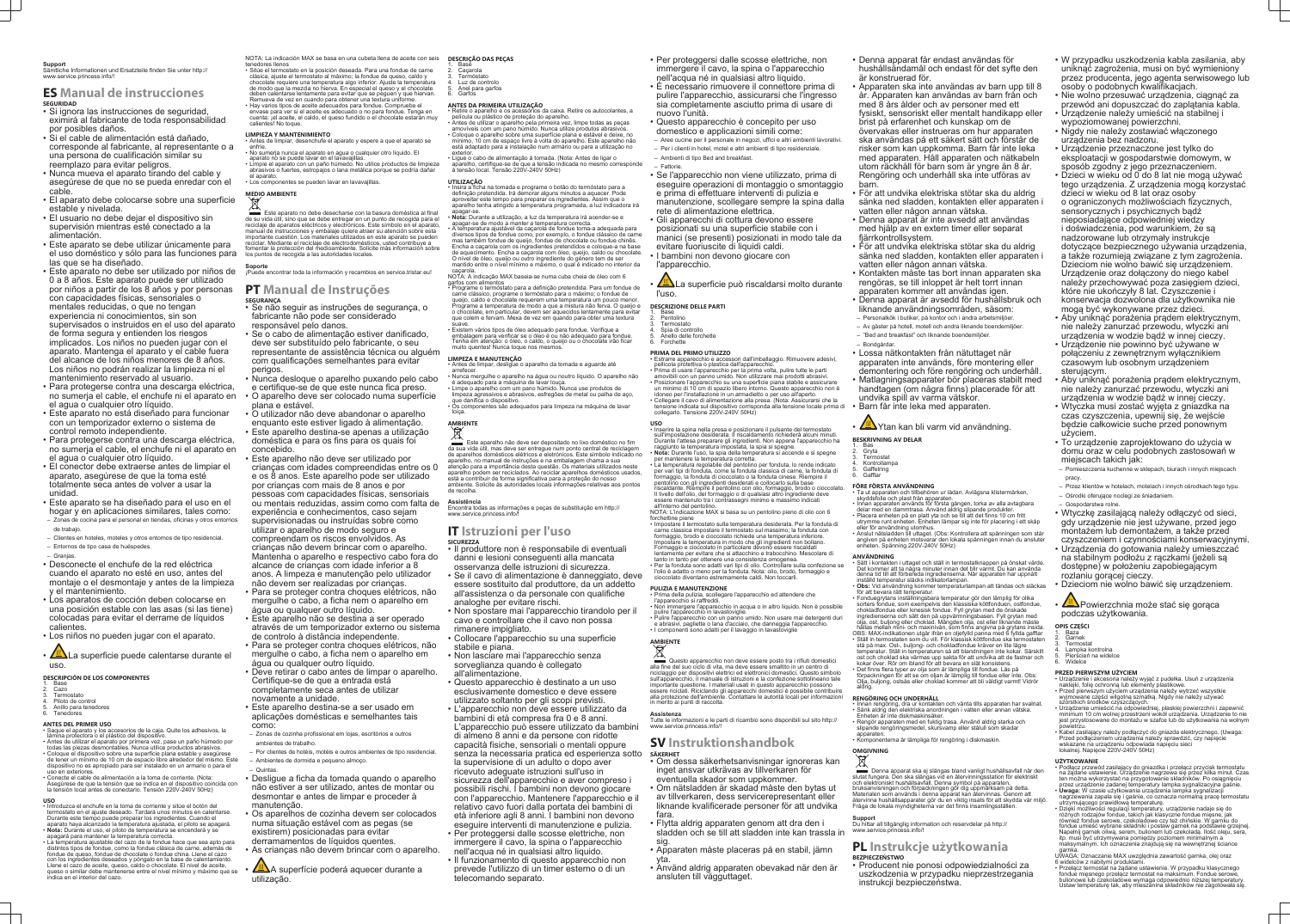#### **Support**

Sämtliche Informationen und Ersatzteile finden Sie unter http:// www.service.princess.info/!

#### **ES Manual de instrucciones SEGURIDAD**

- 1. Base Cazo
- **Termostato**
- 4. Piloto de control 5. Anillo para tenedores
- **Tenedores**
- Si ignora las instrucciones de seguridad, eximirá al fabricante de toda responsabilidad por posibles daños.
- Si el cable de alimentación está dañado, corresponde al fabricante, al representante o a una persona de cualificación similar su reemplazo para evitar peligros.
- Nunca mueva el aparato tirando del cable y asegúrese de que no se pueda enredar con el cable.
- El aparato debe colocarse sobre una superficie estable y nivelada.
- El usuario no debe dejar el dispositivo sin supervisión mientras esté conectado a la alimentación.
- Este aparato se debe utilizar únicamente para el uso doméstico y sólo para las funciones para las que se ha diseñado.
- Este aparato no debe ser utilizado por niños de **Soporte** 0 a 8 años. Este aparato puede ser utilizado por niños a partir de los 8 años y por personas **PT Manual de Instruções** con capacidades físicas, sensoriales o mentales reducidas, o que no tengan experiencia ni conocimientos, sin son supervisados o instruidos en el uso del aparato de forma segura y entienden los riesgos implicados. Los niños no pueden jugar con el aparato. Mantenga el aparato y el cable fuera del alcance de los niños menores de 8 años. Los niños no podrán realizar la limpieza ni el mantenimiento reservado al usuario.
- Para protegerse contra una descarga eléctrica, no sumerja el cable, el enchufe ni el aparato en el agua o cualquier otro líquido.
- Este aparato no está diseñado para funcionar con un temporizador externo o sistema de control remoto independiente.
- Para protegerse contra una descarga eléctrica, no sumerja el cable, el enchufe ni el aparato en el agua o cualquier otro líquido.
- El conector debe extraerse antes de limpiar el aparato, asegúrese de que la toma esté totalmente seca antes de volver a usar la unidad.
- Este aparato se ha diseñado para el uso en el hogar y en aplicaciones similares, tales como: – Zonas de cocina para el personal en tiendas, oficinas y otros entornos
- de trabajo.
- Clientes en hoteles, moteles y otros entornos de tipo residencial.
- Entornos de tipo casa de huéspedes.
- Granjas. • Desconecte el enchufe de la red eléctrica cuando el aparato no esté en uso, antes del montaje o el desmontaje y antes de la limpieza y el mantenimiento.
- Los aparatos de cocción deben colocarse en una posición estable con las asas (si las tiene) colocadas para evitar el derrame de líquidos calientes.
- Los niños no pueden jugar con el aparato.
- **Alla** La superficie puede calentarse durante el uso.
- Antes de limpiar, desenchufe el aparato y espere a que el aparato se enfríe. • No sumerja nunca el aparato en agua o cualquier otro líquido. El
- aparato no se puede lavar en el lavavajillas. • Limpie el aparato con un paño húmedo. No utilice productos de limpieza
- abrasivos o fuertes, estropajos o lana metálica porque se podría dañar el aparato.
- Los componentes se pueden lavar en lavavajillas

#### **DESCRIPCIÓN DE LOS COMPONENTES**

#### **ANTES DEL PRIMER USO**

Este aparato no debe desecharse con la basura doméstica al final de su vida útil, sino que se debe entregar en un punto de recogida para el reciclaje de aparatos eléctricos y electrónicos. Este símbolo en el aparato, manual de instrucciones y embalaje quiere atraer su atención sobre esta importante cuestión. Los materiales utilizados en este aparato se pueden reciclar. Mediante el reciclaje de electrodomésticos, usted contribuye a fomentar la protección del medioambiente. Solicite más información sobre los puntos de recogida a las autoridades locales.

- Saque el aparato y los accesorios de la caja. Quite los adhesivos, la lámina protectora o el plástico del dispositivo. • Antes de utilizar el aparato por primera vez, pase un paño húmedo por
- todas las piezas desmontables. Nunca utilice productos abrasivos. • Coloque el dispositivo sobre una superficie plana estable y asegúrese de tener un mínimo de 10 cm de espacio libre alrededor del mismo. Este dispositivo no es apropiado para ser instalado en un armario o para el
- uso en exteriores. • Conecte el cable de alimentación a la toma de corriente. (Nota: Asegúrese de que la tensión que se indica en el dispositivo coincida con la tensión local antes de conectarlo. Tensión 220V-240V 50Hz)
- **USO**
- Introduzca el enchufe en la toma de corriente y sitúe el botón del termostato en el ajuste deseado. Tardará unos minutos en calentarse. Durante este tiempo puede preparar los ingredientes. Cuando el aparato haya alcanzado la temperatura ajustada, el piloto se apagará.
- **Nota:** Durante el uso, el piloto de temperatura se encenderá y se apagará para mantener la temperatura correcta.
- La temperatura ajustable del cazo de la fondue hace que sea apto para distintos tipos de fondue, como la fondue clásica de carne, además de fondue de queso, fondue de chocolate o fondue china. Llene el cazo con los ingredientes deseados y póngalo en la base de calentamiento. Llene el cazo de aceite, queso, caldo o chocolate. El nivel de aceite,
- queso o similar debe mantenerse entre el nivel mínimo y máximo que se indica en el interior del cazo.

NOTA: La indicación MAX se basa en una cubeta llena de aceite con seis tenedores llenos

- Sitúe el termostato en la posición deseada. Para una fondue de carne clásica, ajuste el termostato al máximo; la fondue de queso, caldo y chocolate requiere una temperatura algo inferior. Ajuste la temperatura de modo que la mezcla no hierva. En especial el queso y el chocolate deben calentarse lentamente para evitar que se peguen y que hiervan. Remueva de vez en cuando para obtener una textura uniforme.
- Hay varios tipos de aceite adecuados para fondue. Compruebe el envase para ver si el aceite es adecuado o no para fondue. Tenga en cuenta: ¡el aceite, el caldo, el queso fundido o el chocolate estarán muy calientes! No toque.

#### **LIMPIEZA Y MANTENIMIENTO**

## **MEDIO AMBIENTE**

Este aparelho não deve ser depositado no lixo doméstico no fim da sua vida útil, mas deve ser entregue num ponto central de reciclagem de aparelhos domésticos elétricos e eletrónicos. Este símbolo indicado no aparelho, no manual de instruções e na embalagem chama a sua

¡Puede encontrar toda la información y recambios en service.tristar.eu!

# **SEGURANÇA**

- Se não seguir as instruções de segurança, o fabricante não pode ser considerado responsável pelo danos.
- Se o cabo de alimentação estiver danificado, deve ser substituído pelo fabricante, o seu representante de assistência técnica ou alguém com qualificações semelhantes para evitar perigos.
- Nunca desloque o aparelho puxando pelo cabo e certifique-se de que este nunca fica preso. • O aparelho deve ser colocado numa superfície
- plana e estável. • O utilizador não deve abandonar o aparelho
- enquanto este estiver ligado à alimentação.
- Este aparelho destina-se apenas a utilização doméstica e para os fins para os quais foi concebido.
- Este aparelho não deve ser utilizado por crianças com idades compreendidas entre os 0 e os 8 anos. Este aparelho pode ser utilizado por crianças com mais de 8 anos e por pessoas com capacidades físicas, sensoriais ou mentais reduzidas, assim como com falta de experiência e conhecimentos, caso sejam supervisionadas ou instruídas sobre como utilizar o aparelho de modo seguro e compreendam os riscos envolvidos. As crianças não devem brincar com o aparelho. Mantenha o aparelho e respectivo cabo fora do alcance de crianças com idade inferior a 8 anos. A limpeza e manutenção pelo utilizador não devem ser realizadas por crianças.
- Para se proteger contra choques elétricos, não mergulhe o cabo, a ficha nem o aparelho em água ou qualquer outro líquido.
- Este aparelho não se destina a ser operado através de um temporizador externo ou sistema de controlo à distância independente.
- Para se proteger contra choques elétricos, não mergulhe o cabo, a ficha nem o aparelho em água ou qualquer outro líquido.
- Deve retirar o cabo antes de limpar o aparelho. Certifique-se de que a entrada está completamente seca antes de utilizar novamente a unidade.
- Este aparelho destina-se a ser usado em aplicações domésticas e semelhantes tais como:
- Zonas de cozinha profissional em lojas, escritórios e outros ambientes de trabalho.

∠∐∆La superficie può riscaldarsi molto durante l'uso.

**DESCRIZIONE DELLE PARTI** 1. Base 2. Pentolino **Termostato** 

4. Spia di controllo 5. Anello delle forchette **Forchette** 

– Quintas.

- Por clientes de hotéis, motéis e outros ambientes de tipo residencial. – Ambientes de dormida e pequeno almoço.
- Desligue a ficha da tomada quando o aparelho não estiver a ser utilizado, antes de montar ou desmontar e antes de limpar e proceder à manutenção.
- Os aparelhos de cozinha devem ser colocados numa situação estável com as pegas (se existirem) posicionadas para evitar derramamentos de líquidos quentes.
- As crianças não devem brincar com o aparelho.
- A superfície poderá aquecer durante a utilização.

#### **DESCRIÇÃO DAS PEÇAS**

- 1. Base
- 2. Caçarola 3. Termóstato
- Luz de controlo 5. Anel para garfos
- 6. Garfos

pulire l'apparecchio in lavastoviglie. • Pulire l'apparecchio con un panno umido. Non usare mai detergenti duri e abrasivi, pagliette o lana d'acciaio, che danneggia l'apparecchio. • I componenti sono adatti per il lavaggio in lavastoviglie

#### **ANTES DA PRIMEIRA UTILIZAÇÃO** • Retire o aparelho e os acessórios da caixa. Retire os autocolantes, a

- película ou plástico de proteção do aparelho. Antes de utilizar o aparelho pela primeira vez, limpe todas as pecas amovíveis com um pano húmido. Nunca utilize produtos abrasivos. • Coloque o aparelho sobre uma superfície plana e estável e deixe, no mínimo, 10 cm de espaço livre à volta do aparelho. Este aparelho não está adaptado para a instalação num armário ou para a utilização no
- exterior. Ligue o cabo de alimentação à tomada. (Nota: Antes de ligar o aparelho, certifique-se de que a tensão indicada no mesmo corresponde à tensão local. Tensão 220V-240V 50Hz)

**Questo apparecchio non deve essere posto tra i rifiuti domestici** alla fine del suo ciclo di vita, ma deve essere smaltito in un centro di riciclaggio per dispositivi elettrici ed elettronici domestici. Questo simbolo sull'apparecchio, il manuale di istruzioni e la confezione sottolineano tale importante questione. I materiali usati in questo apparecchio possono essere riciclati. Riciclando gli apparecchi domestici è possibile contribuire alla protezione dell'ambiente. Contattare le autorità locali per informazioni in merito ai punti di raccolta.

#### **UTILIZAÇÃO**

- Denna apparat får endast användas för hushållsändamål och endast för det syfte den är konstruerad för.
- Apparaten ska inte användas av barn upp till 8 år. Apparaten kan användas av barn från och med 8 års ålder och av personer med ett fysiskt, sensoriskt eller mentalt handikapp eller brist på erfarenhet och kunskap om de övervakas eller instrueras om hur apparaten ska användas på ett säkert sätt och förstår de risker som kan uppkomma. Barn får inte leka med apparaten. Håll apparaten och nätkabeln utom räckhåll för barn som är yngre än 8 år. Rengöring och underhåll ska inte utföras av barn.
- För att undvika elektriska stötar ska du aldrig sänka ned sladden, kontakten eller apparaten i vatten eller någon annan vätska.
- Denna apparat är inte avsedd att användas med hjälp av en extern timer eller separat fjärrkontrollsystem.
- För att undvika elektriska stötar ska du aldrig sänka ned sladden, kontakten eller apparaten i vatten eller någon annan vätska.
- Kontakten måste tas bort innan apparaten ska rengöras, se till inloppet är helt torrt innan apparaten kommer att användas igen.
- Denna apparat är avsedd för hushållsbruk och liknande användningsområden, såsom:
- Personalkök i butiker, på kontor och i andra arbetsmiljöer.
- Av gäster på hotell, motell och andra liknande boendemiljöer.
- "Bed and breakfast" och liknande boendemiljöer. – Bondgårdar.
- Lossa nätkontakten från nätuttaget när apparaten inte används, före montering eller demontering och före rengöring och underhåll.
- Matlagningsapparater bör placeras stabilt med handtagen (om några finns) placerade för att undvika spill av varma vätskor.
- Barn får inte leka med apparaten.
- **WA**Ytan kan bli varm vid användning. **BESKRIVNING AV DELAR**
- 1. Bas
- 2. Gryta **Termostat**
- 4. Kontrollampa
- ...............<br>Gaffelring **Gafflar**
- - **FÖRE FÖRSTA ANVÄNDNING** • Ta ut apparaten och tillbehören ur lådan. Avlägsna klistermärken,
	- skyddsfolie och plast från apparaten. • Innan apparaten används för första gången, torka av alla avtagbara
	- delar med en dammtrasa. Använd aldrig slipande produkter. Placera enheten på en platt yta och se till att det finns 10 cm fritt utrymme runt enheten. Enheten lämpar sig inte för placering i ett skåp
	- eller för användning utomhus. • Anslut nätsladden till uttaget. (Obs: Kontrollera att spänningen som står angiven på enheten motsvarar den lokala spänningen innan du ansluter
- Insira a ficha na tomada e programe o botão do termóstato para a definição pretendida. Irá demorar alguns minutos a aquecer. Pode aproveitar este tempo para preparar os ingredientes. Assim que o aparelho tenha atingido a temperatura programada, a luz indicadora irá apagar-se.
- **Nota:** Durante a utilização, a luz da temperatura irá acender-se e apagar-se de modo a manter a temperatura correcta. A temperatura ajustável da caçarola de fondue torna-a adequada para diversos tipos de fondue como, por exemplo, o fondue clássico de carne
- mas também fondue de queijo, fondue de chocolate ou fondue chinês. Encha a caçarola com os ingredientes pretendidos e coloque-a na base de aquecimento. Encha a caçarola com óleo, queijo, caldo ou chocolate. O nível de óleo, queijo ou outro ingrediente do género tem de ser mantido entre o nível mínimo e máximo, o qual é indicado no interior da caçarola.
- NOTA: A indicação MAX baseia-se numa cuba cheia de óleo com 6 garfos com alimentos
- Programe o termóstato para a definição pretendida. Para um fondue de carne clássico, programe o termóstato para o máximo; o fondue de queijo, caldo e chocolate requerem uma temperatura um pouco menor Programe a temperatura de modo a que a mistura não ferva. O queijo e o chocolate, em particular, devem ser aquecidos lentamente para evitar que colem e fervam. Mexa de vez em quando para obter uma textura suave.
- Existem vários tipos de óleo adequado para fondue. Verifique a embalagem para verificar se o óleo é ou não adequado para fondue. Tenha em atenção: o óleo, o caldo, o queijo ou o chocolate irão ficar muito quentes! Nunca toque nos mesmos.

#### **LIMPEZA E MANUTENÇÃO**

**AMBIENTE** 

- Antes de limpar, desligue o aparelho da tomada e aguarde até arrefecer
- Nunca mergulhe o aparelho na água ou noutro líquido. O aparelho não é adequado para a máquina de lavar louça. • Limpe o aparelho com um pano húmido. Nunca use produtos de
- limpeza agressivos e abrasivos, esfregões de metal ou palha de aço, que danifica o dispositivo. • Os componentes são adequados para limpeza na máquina de lavar
- loiça.

atenção para a importância desta questão. Os materiais utilizados neste aparelho podem ser reciclados. Ao reciclar aparelhos domésticos usados, está a contribuir de forma significativa para a proteção do nosso ambiente. Solicite às autoridades locais informações relativas aos pontos de recolha.

**Assistência** Encontra todas as informações e peças de substituição em http:// www.service.princess.info/!

## **IT Istruzioni per l'uso**

- **SICUREZZA** • Il produttore non è responsabile di eventuali
- danni e lesioni conseguenti alla mancata osservanza delle istruzioni di sicurezza. • Se il cavo di alimentazione è danneggiato, deve
- essere sostituito dal produttore, da un addetto all'assistenza o da personale con qualifiche analoghe per evitare rischi.
- Non spostare mai l'apparecchio tirandolo per il cavo e controllare che il cavo non possa rimanere impigliato.
- Collocare l'apparecchio su una superficie stabile e piana.
- Non lasciare mai l'apparecchio senza sorveglianza quando è collegato all'alimentazione.
- Questo apparecchio è destinato a un uso esclusivamente domestico e deve essere utilizzato soltanto per gli scopi previsti.
- L'apparecchio non deve essere utilizzato da bambini di età compresa fra 0 e 8 anni. L'apparecchio può essere utilizzato da bambini di almeno 8 anni e da persone con ridotte capacità fisiche, sensoriali o mentali oppure senza la necessaria pratica ed esperienza sotto la supervisione di un adulto o dopo aver ricevuto adeguate istruzioni sull'uso in sicurezza dell'apparecchio e aver compreso i possibili rischi. I bambini non devono giocare con l'apparecchio. Mantenere l'apparecchio e il relativo cavo fuori dalla portata dei bambini di età inferiore agli 8 anni. I bambini non devono eseguire interventi di manutenzione e pulizia.
- Per proteggersi dalle scosse elettriche, non immergere il cavo, la spina o l'apparecchio nell'acqua né in qualsiasi altro liquido.
- Il funzionamento di questo apparecchio non prevede l'utilizzo di un timer esterno o di un telecomando separato.

• Per proteggersi dalle scosse elettriche, non immergere il cavo, la spina o l'apparecchio nell'acqua né in qualsiasi altro liquido. • È necessario rimuovere il connettore prima di pulire l'apparecchio, assicurarsi che l'ingresso sia completamente asciutto prima di usare di nuovo l'unità.

• Questo apparecchio è concepito per uso domestico e applicazioni simili come: – Aree cucine per il personale in negozi, uffici e altri ambienti lavorativi. – Per i clienti in hotel, motel e altri ambienti di tipo residenziale.

> $\cdot$  Przełacz termostat na żadane ustawienie. W przypadku klasycznego fondue mięsnego przełącz termostat na maksimum. Fondue serowe, bulionowe lub czekoladowe wymaga odpowiednio niższej temperatury Ustaw temperaturę tak, aby mieszanina składników nie zagotowała się.

– Ambienti di tipo Bed and breakfast. – Fattorie.

• Se l'apparecchio non viene utilizzato, prima di eseguire operazioni di montaggio o smontaggio e prima di effettuare interventi di pulizia e manutenzione, scollegare sempre la spina dalla rete di alimentazione elettrica.

• Gli apparecchi di cottura devono essere posizionati su una superficie stabile con i manici (se presenti) posizionati in modo tale da evitare fuoriuscite di liquidi caldi. • I bambini non devono giocare con

l'apparecchio.

#### **PRIMA DEL PRIMO UTILIZZO**

• Estrarre apparecchio e accessori dall'imballaggio. Rimuovere adesivi, pellicola protettiva o plastica dall'apparecchio. • Prima di usare l'apparecchio per la prima volta, pulire tutte le parti amovibili con un panno umido. Non utilizzare mai prodotti abrasivi. • Posizionare l'apparecchio su una superficie piana stabile e assicurare un minimo di 10 cm di spazio libero intorno. Questo apparecchio non è idoneo per l'installazione in un armadietto o per uso all'aperto. • Collegare il cavo di alimentazione alla presa. (Nota: Assicurarsi che la tensione indicata sul dispositivo corrisponda alla tensione locale prima di collegarlo. Tensione 220V-240V 50Hz)

**USO** • Inserire la spina nella presa e posizionare il pulsante del termostato sull'impostazione desiderata. Il riscaldamento richiederà alcuni minuti. Durante l'attesa preparare gli ingredienti. Non appena l'apparecchio ha

raggiunto la temperatura impostata, la spia si spegne. • **Nota:** Durante l'uso, la spia della temperatura si accende e si spegne per mantenere la temperatura corretta. • La temperatura regolabile del pentolino per fonduta, lo rende indicato

per vari tipi di fonduta, come la fonduta classica di carne, la fonduta di formaggio, la fonduta di cioccolato o la fonduta cinese. Riempire il pentolino con gli ingredienti desiderati e collocarlo sulla base riscaldante. Riempire il pentolino con olio, formaggio, brodo o cioccolato. Il livello dell'olio, del formaggio o di qualsiasi altro ingrediente deve

essere mantenuto tra i contrassegni minimo e massimo indicati all'interno del pentolino NOTA: L'indicazione MAX si basa su un pentolino pieno di olio con 6

forchettine piene • Impostare il termostato sulla temperatura desiderata. Per la fonduta di carne classica impostare il termostato sul massimo; la fonduta con formaggio, brodo e cioccolato richiede una temperatura inferiore. Impostare la temperatura in modo che gli ingredienti non bollano. Formaggio e cioccolato in particolare devono essere riscaldati

lentamente per evitare che si attacchino e trabocchino. Mescolare di tanto in tanto per ottenere una consistenza omogenea. • Per la fonduta sono adatti vari tipi di olio. Controllare sulla confezione se l'olio è adatto o meno per la fonduta. Nota: olio, brodo, formaggio e cioccolato diventano estremamente caldi. Non toccarli.

**PULIZIA E MANUTENZIONE**

• Prima della pulizia, scollegare l'apparecchio ed attendere che l'apparecchio si raffreddi. • Non immergere l'apparecchio in acqua o in altro liquido. Non è possibile

# **AMBIENTE**

#### **Assistenza**

Tutte le informazioni e le parti di ricambio sono disponibili sul sito http:// www.service.princess.info/!

#### **SV Instruktionshandbok SÄKERHET**

• Om dessa säkerhetsanvisningar ignoreras kan inget ansvar utkrävas av tillverkaren för eventuella skador som uppkommer.

• Om nätsladden är skadad måste den bytas ut av tillverkaren, dess servicerepresentant eller liknande kvalificerade personer för att undvika fara.

• Flytta aldrig apparaten genom att dra den i sladden och se till att sladden inte kan trassla in sig.

• Apparaten måste placeras på en stabil, jämn yta.

• Använd aldrig apparaten obevakad när den är ansluten till vägguttaget.

#### enheten. Spänning 220V-240V 50Hz) **ANVÄNDNING**

- Sätt i kontakten i uttaget och ställ in termostatknappen på önskat värde. Det kommer att ta några minuter innan det blir varmt. Du kan använda denna tid till att förbereda ingredienserna. När apparaten har uppnått inställd temperatur släcks indikatorlampan. • **Obs:** Vid användning kommer temperaturlampan att tändas och släckas
- för att bevara rätt temperatur. • Fonduegrytans inställningsbara temperatur gör den lämplig för olika
- sorters fondue, som exempelvis den klassiska köttfonduen, ostfondue, chokladfondue eller kinesisk fondue. Fyll grytan med de önskade ingredienserna och sätt den på uppvärmningsbasen. Fyll grytan med olja, ost, buljong eller choklad. Mängden olja, ost eller liknande måste hållas mellan mini- och maxinivån, som finns angivna på grytans insida. OBS: MAX-indikationen utgår ifrån en oljefylld panna med 6 fyllda gafflar • Ställ in termostaten som du vill. För klassisk köttfondue ska termostaten stå på max. Ost-, buljong- och chokladfondue kräver en lite lägre
- temperatur. Ställ in temperaturen så att blandningen inte kokar. Särskilt ost och choklad ska värmas upp sakta för att undvika att de fastnar och kokar över. Rör om ibland för att bevara en slät konsistens. • Det finns flera typer av olja som är lämpliga till fondue. Läs på
- förpackningen för att se om oljan är lämplig till fondue eller inte. Obs: Olja, buljong, ostsås eller choklad kommer att bli väldigt varmt! Vidrör aldrig.

## **RENGÖRING OCH UNDERHÅLL**

- Innan rengöring, dra ur kontakten och vänta tills apparaten har svalnat. • Sänk aldrig den elektriska anordningen i vatten eller annan vätska. Enheten är inte diskmaskinsäker.
- Rengör apparaten med en fuktig trasa. Använd aldrig starka och slipande rengöringsmedel, skursvamp eller stålull som skadar
- apparaten. • Komponenterna är lämpliga för rengöring i diskmaskin.
- **OMGIVNING**

## ⊠

Denna apparat ska ej slängas bland vanligt hushållsavfall när den slutat fungera. Den ska slängas vid en återvinningsstation för elektriskt och elektroniskt hushållsavfall. Denna symbol på apparaten, bruksanvisningen och förpackningen gör dig uppmärksam på detta. Materialen som används i denna apparat kan återvinnas. Genom att återvinna hushållsapparater gör du en viktig insats för att skydda vår miljö. Fråga de lokala myndigheterna var det finns insamlingsstä

**Support** Du hittar all tillgänglig information och reservdelar på http:// www.service.princess.info/!

### **PL Instrukcje użytkowania BEZPIECZEŃSTWO**

• Producent nie ponosi odpowiedzialności za uszkodzenia w przypadku nieprzestrzegania instrukcji bezpieczeństwa.

- W przypadku uszkodzenia kabla zasilania, aby uniknąć zagrożenia, musi on być wymieniony przez producenta, jego agenta serwisowego lub osoby o podobnych kwalifikacjach.
- Nie wolno przesuwać urządzenia, ciągnąć za przewód ani dopuszczać do zaplątania kabla.
- Urządzenie należy umieścić na stabilnej i wypoziomowanej powierzchni. • Nigdy nie należy zostawiać włączonego
- urządzenia bez nadzoru. • Urządzenie przeznaczone jest tylko do
- eksploatacji w gospodarstwie domowym, w sposób zgodny z jego przeznaczeniem.
- Dzieci w wieku od 0 do 8 lat nie mogą używać tego urządzenia. Z urządzenia mogą korzystać dzieci w wieku od 8 lat oraz osoby o ograniczonych możliwościach fizycznych, sensorycznych i psychicznych bądź nieposiadające odpowiedniej wiedzy i doświadczenia, pod warunkiem, że są nadzorowane lub otrzymały instrukcje dotyczące bezpiecznego używania urządzenia, a także rozumieją związane z tym zagrożenia. Dzieciom nie wolno bawić się urządzeniem. Urządzenie oraz dołączony do niego kabel należy przechowywać poza zasięgiem dzieci, które nie ukończyły 8 lat. Czyszczenie i konserwacja dozwolona dla użytkownika nie mogą być wykonywane przez dzieci.
- Aby uniknąć porażenia prądem elektrycznym, nie należy zanurzać przewodu, wtyczki ani
- urządzenia w wodzie bądź w innej cieczy. • Urządzenie nie powinno być używane w połączeniu z zewnętrznym wyłącznikiem czasowym lub osobnym urządzeniem sterującym.
- Aby uniknąć porażenia prądem elektrycznym, nie należy zanurzać przewodu, wtyczki ani urządzenia w wodzie bądź w innej cieczy.
- Wtyczka musi zostać wyjęta z gniazdka na czas czyszczenia, upewnij się, że wejście będzie całkowicie suche przed ponownym użyciem.
- To urządzenie zaprojektowano do użycia w domu oraz w celu podobnych zastosowań w miejscach takich jak:
- Pomieszczenia kuchenne w sklepach, biurach i innych miejscach pracy
- Przez klientów w hotelach, motelach i innych ośrodkach tego typu. – Ośrodki oferujące noclegi ze śniadaniem.
- Gospodarstwa rolne.
- Wtyczkę zasilającą należy odłączyć od sieci, gdy urządzenie nie jest używane, przed jego montażem lub demontażem, a także przed
- czyszczeniem i czynnościami konserwacyjnymi. • Urządzenia do gotowania należy umieszczać na stabilnym podłożu z rączkami (jeżeli są dostępne) w położeniu zapobiegającym
- rozlaniu gorącej cieczy. • Dzieciom nie wolno bawić się urządzeniem.
- **WEX** Powierzchnia może stać się gorąca podczas użytkowania.

#### **OPIS CZĘŚCI**

- Baza<sup>`</sup> 2. Garnek
- **Termostat**
- Lampka kontrolna 5. Pierścień na widelce
- Widelce

**PRZED PIERWSZYM UŻYCIEM**

- Urządzenie i akcesoria należy wyjąć z pudełka. Usuń z urządzenia naklejki, folię ochronną lub elementy plastikowe. • Przed pierwszym użyciem urządzenia należy wytrzeć wszystkie
- wyjmowane części wilgotną szmatką. Nigdy nie należy używać szorstkich środków czyszczących. • Urządzenie umieścić na odpowiedniej, płaskiej powierzchni i zapewnić minimum 10 cm wolnej przestrzeni wokół urządzenia. Urządzenie to nie jest przystosowane do montażu w szafce lub do użytkowania na wolnym
- powietrzu. • Kabel zasilający należy podłączyć do gniazda elektrycznego. (Uwaga: Przed podłączeniem urządzenia należy sprawdzić, czy napięcie wskazane na urządzeniu odpowiada napięciu sieci lokalnej. Napięcie 220V-240V 50Hz)

#### **UŻYTKOWANIE**

- Podłącz przewód zasilający do gniazdka i przełącz przycisk termostatu na żądane ustawienie. Urządzenie nagrzewa się przez kilka minut. Czas ten można wykorzystać na przygotowanie składników. Po osiągnięciu przez urządzenie zadanej temperatury lampka sygnalizacyjna gaśnie. • **Uwaga:** W czasie użytkowania urządzenia lampka sygnalizacji
- nagrzewania zapala się i gaśnie, co oznacza normalną pracę termostatu utrzymującego prawidłową temperaturę. • Dzięki możliwości regulacji temperatury, urządzenie nadaje się do
- różnych rodzajów fondue, takich jak klasyczne fondue mięsne, jak również fondue serowe, czekoladowe czy też chińskie. W garnku do fondue umieść wybrane składniki i postaw garnek na podstawie grzejnej. Napełnij garnek oliwą, serem, bulionem lub czekoladą. Ilość oleju, sera, itp. musi być utrzymywana pomiędzy poziomem minimalnym a maksymalnym. Ich oznaczenia znajdują się na wewnętrznej ściance garnka. UWAGA: Oznaczanie MAX uwzględnia zawartość garnka, olej oraz

6 widelców z nabitymi produktami.